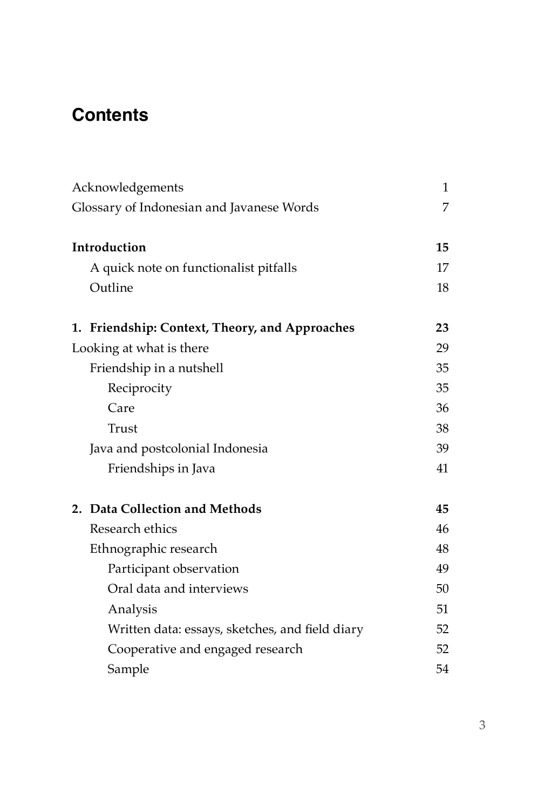## **Contents**

| Acknowledgements                                |    |
|-------------------------------------------------|----|
| Glossary of Indonesian and Javanese Words       |    |
|                                                 |    |
| Introduction                                    | 15 |
| A quick note on functionalist pitfalls          | 17 |
| Outline                                         | 18 |
| 1. Friendship: Context, Theory, and Approaches  | 23 |
| Looking at what is there                        | 29 |
| Friendship in a nutshell                        | 35 |
| Reciprocity                                     | 35 |
| Care                                            | 36 |
| Trust                                           | 38 |
| Java and postcolonial Indonesia                 | 39 |
| Friendships in Java                             | 41 |
| 2. Data Collection and Methods                  | 45 |
| Research ethics                                 | 46 |
| Ethnographic research                           | 48 |
| Participant observation                         | 49 |
| Oral data and interviews                        | 50 |
| Analysis                                        | 51 |
| Written data: essays, sketches, and field diary | 52 |
| Cooperative and engaged research                | 52 |
| Sample                                          | 54 |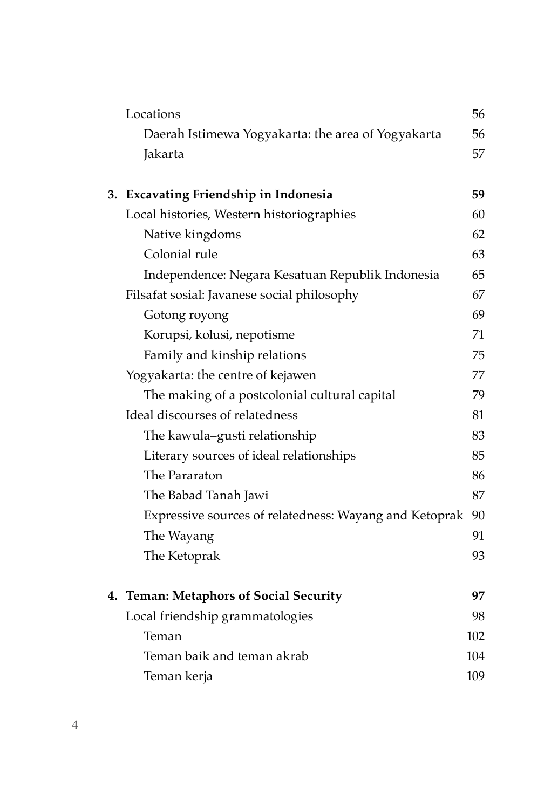| Locations                                              | 56  |
|--------------------------------------------------------|-----|
| Daerah Istimewa Yogyakarta: the area of Yogyakarta     | 56  |
| Jakarta                                                | 57  |
|                                                        |     |
| 3. Excavating Friendship in Indonesia                  | 59  |
| Local histories, Western historiographies              | 60  |
| Native kingdoms                                        | 62  |
| Colonial rule                                          | 63  |
| Independence: Negara Kesatuan Republik Indonesia       | 65  |
| Filsafat sosial: Javanese social philosophy            | 67  |
| Gotong royong                                          | 69  |
| Korupsi, kolusi, nepotisme                             | 71  |
| Family and kinship relations                           | 75  |
| Yogyakarta: the centre of kejawen                      | 77  |
| The making of a postcolonial cultural capital          | 79  |
| Ideal discourses of relatedness                        | 81  |
| The kawula–gusti relationship                          | 83  |
| Literary sources of ideal relationships                | 85  |
| The Pararaton                                          | 86  |
| The Babad Tanah Jawi                                   | 87  |
| Expressive sources of relatedness: Wayang and Ketoprak | 90  |
| The Wayang                                             | 91  |
| The Ketoprak                                           | 93  |
|                                                        |     |
| 4. Teman: Metaphors of Social Security                 | 97  |
| Local friendship grammatologies                        | 98  |
| Teman                                                  | 102 |
| Teman baik and teman akrab                             | 104 |
| Teman kerja                                            | 109 |